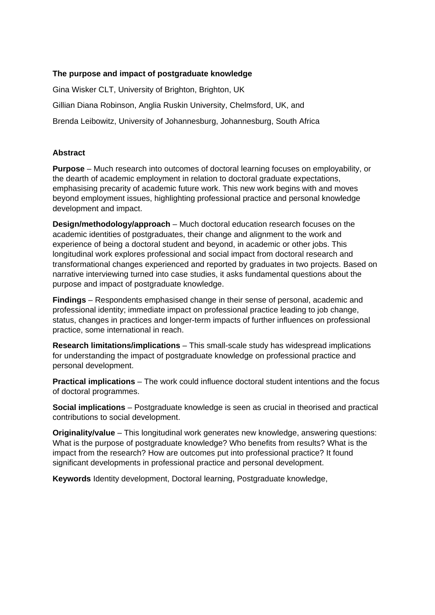## **The purpose and impact of postgraduate knowledge**

Gina Wisker CLT, University of Brighton, Brighton, UK Gillian Diana Robinson, Anglia Ruskin University, Chelmsford, UK, and Brenda Leibowitz, University of Johannesburg, Johannesburg, South Africa

### **Abstract**

**Purpose** – Much research into outcomes of doctoral learning focuses on employability, or the dearth of academic employment in relation to doctoral graduate expectations, emphasising precarity of academic future work. This new work begins with and moves beyond employment issues, highlighting professional practice and personal knowledge development and impact.

**Design/methodology/approach** – Much doctoral education research focuses on the academic identities of postgraduates, their change and alignment to the work and experience of being a doctoral student and beyond, in academic or other jobs. This longitudinal work explores professional and social impact from doctoral research and transformational changes experienced and reported by graduates in two projects. Based on narrative interviewing turned into case studies, it asks fundamental questions about the purpose and impact of postgraduate knowledge.

**Findings** – Respondents emphasised change in their sense of personal, academic and professional identity; immediate impact on professional practice leading to job change, status, changes in practices and longer-term impacts of further influences on professional practice, some international in reach.

**Research limitations/implications** – This small-scale study has widespread implications for understanding the impact of postgraduate knowledge on professional practice and personal development.

**Practical implications** – The work could influence doctoral student intentions and the focus of doctoral programmes.

**Social implications** – Postgraduate knowledge is seen as crucial in theorised and practical contributions to social development.

**Originality/value** – This longitudinal work generates new knowledge, answering questions: What is the purpose of postgraduate knowledge? Who benefits from results? What is the impact from the research? How are outcomes put into professional practice? It found significant developments in professional practice and personal development.

**Keywords** Identity development, Doctoral learning, Postgraduate knowledge,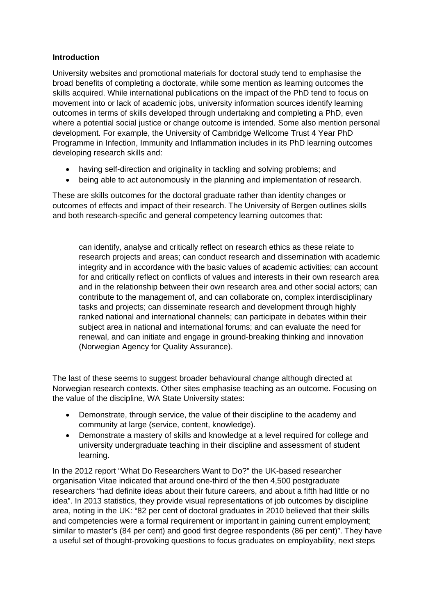### **Introduction**

University websites and promotional materials for doctoral study tend to emphasise the broad benefits of completing a doctorate, while some mention as learning outcomes the skills acquired. While international publications on the impact of the PhD tend to focus on movement into or lack of academic jobs, university information sources identify learning outcomes in terms of skills developed through undertaking and completing a PhD, even where a potential social justice or change outcome is intended. Some also mention personal development. For example, the University of Cambridge Wellcome Trust 4 Year PhD Programme in Infection, Immunity and Inflammation includes in its PhD learning outcomes developing research skills and:

- having self-direction and originality in tackling and solving problems; and
- being able to act autonomously in the planning and implementation of research.

These are skills outcomes for the doctoral graduate rather than identity changes or outcomes of effects and impact of their research. The University of Bergen outlines skills and both research-specific and general competency learning outcomes that:

can identify, analyse and critically reflect on research ethics as these relate to research projects and areas; can conduct research and dissemination with academic integrity and in accordance with the basic values of academic activities; can account for and critically reflect on conflicts of values and interests in their own research area and in the relationship between their own research area and other social actors; can contribute to the management of, and can collaborate on, complex interdisciplinary tasks and projects; can disseminate research and development through highly ranked national and international channels; can participate in debates within their subject area in national and international forums; and can evaluate the need for renewal, and can initiate and engage in ground-breaking thinking and innovation (Norwegian Agency for Quality Assurance).

The last of these seems to suggest broader behavioural change although directed at Norwegian research contexts. Other sites emphasise teaching as an outcome. Focusing on the value of the discipline, WA State University states:

- Demonstrate, through service, the value of their discipline to the academy and community at large (service, content, knowledge).
- Demonstrate a mastery of skills and knowledge at a level required for college and university undergraduate teaching in their discipline and assessment of student learning.

In the 2012 report "What Do Researchers Want to Do?" the UK-based researcher organisation Vitae indicated that around one-third of the then 4,500 postgraduate researchers "had definite ideas about their future careers, and about a fifth had little or no idea". In 2013 statistics, they provide visual representations of job outcomes by discipline area, noting in the UK: "82 per cent of doctoral graduates in 2010 believed that their skills and competencies were a formal requirement or important in gaining current employment; similar to master's (84 per cent) and good first degree respondents (86 per cent)". They have a useful set of thought-provoking questions to focus graduates on employability, next steps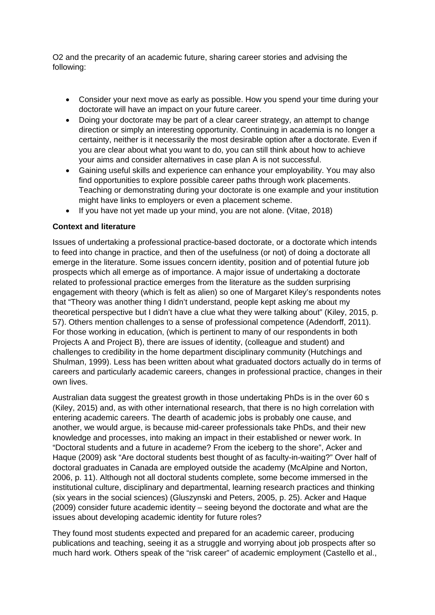O2 and the precarity of an academic future, sharing career stories and advising the following:

- Consider your next move as early as possible. How you spend your time during your doctorate will have an impact on your future career.
- Doing your doctorate may be part of a clear career strategy, an attempt to change direction or simply an interesting opportunity. Continuing in academia is no longer a certainty, neither is it necessarily the most desirable option after a doctorate. Even if you are clear about what you want to do, you can still think about how to achieve your aims and consider alternatives in case plan A is not successful.
- Gaining useful skills and experience can enhance your employability. You may also find opportunities to explore possible career paths through work placements. Teaching or demonstrating during your doctorate is one example and your institution might have links to employers or even a placement scheme.
- If you have not yet made up your mind, you are not alone. (Vitae, 2018)

## **Context and literature**

Issues of undertaking a professional practice-based doctorate, or a doctorate which intends to feed into change in practice, and then of the usefulness (or not) of doing a doctorate all emerge in the literature. Some issues concern identity, position and of potential future job prospects which all emerge as of importance. A major issue of undertaking a doctorate related to professional practice emerges from the literature as the sudden surprising engagement with theory (which is felt as alien) so one of Margaret Kiley's respondents notes that "Theory was another thing I didn't understand, people kept asking me about my theoretical perspective but I didn't have a clue what they were talking about" (Kiley, 2015, p. 57). Others mention challenges to a sense of professional competence (Adendorff, 2011). For those working in education, (which is pertinent to many of our respondents in both Projects A and Project B), there are issues of identity, (colleague and student) and challenges to credibility in the home department disciplinary community (Hutchings and Shulman, 1999). Less has been written about what graduated doctors actually do in terms of careers and particularly academic careers, changes in professional practice, changes in their own lives.

Australian data suggest the greatest growth in those undertaking PhDs is in the over 60 s (Kiley, 2015) and, as with other international research, that there is no high correlation with entering academic careers. The dearth of academic jobs is probably one cause, and another, we would argue, is because mid-career professionals take PhDs, and their new knowledge and processes, into making an impact in their established or newer work. In "Doctoral students and a future in academe? From the iceberg to the shore", Acker and Haque (2009) ask "Are doctoral students best thought of as faculty-in-waiting?" Over half of doctoral graduates in Canada are employed outside the academy (McAlpine and Norton, 2006, p. 11). Although not all doctoral students complete, some become immersed in the institutional culture, disciplinary and departmental, learning research practices and thinking (six years in the social sciences) (Gluszynski and Peters, 2005, p. 25). Acker and Haque (2009) consider future academic identity – seeing beyond the doctorate and what are the issues about developing academic identity for future roles?

They found most students expected and prepared for an academic career, producing publications and teaching, seeing it as a struggle and worrying about job prospects after so much hard work. Others speak of the "risk career" of academic employment (Castello et al.,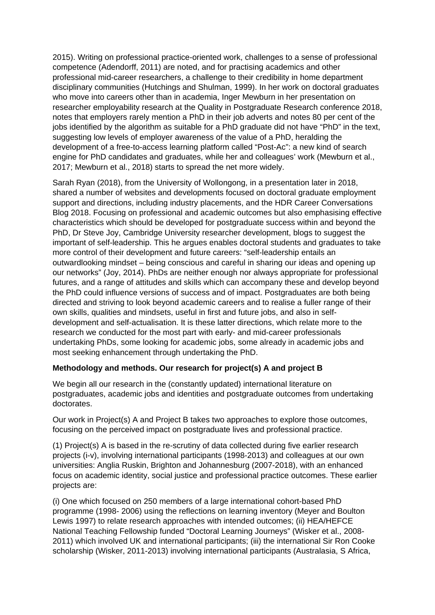2015). Writing on professional practice-oriented work, challenges to a sense of professional competence (Adendorff, 2011) are noted, and for practising academics and other professional mid-career researchers, a challenge to their credibility in home department disciplinary communities (Hutchings and Shulman, 1999). In her work on doctoral graduates who move into careers other than in academia, Inger Mewburn in her presentation on researcher employability research at the Quality in Postgraduate Research conference 2018, notes that employers rarely mention a PhD in their job adverts and notes 80 per cent of the jobs identified by the algorithm as suitable for a PhD graduate did not have "PhD" in the text, suggesting low levels of employer awareness of the value of a PhD, heralding the development of a free-to-access learning platform called "Post-Ac": a new kind of search engine for PhD candidates and graduates, while her and colleagues' work (Mewburn et al., 2017; Mewburn et al., 2018) starts to spread the net more widely.

Sarah Ryan (2018), from the University of Wollongong, in a presentation later in 2018, shared a number of websites and developments focused on doctoral graduate employment support and directions, including industry placements, and the HDR Career Conversations Blog 2018. Focusing on professional and academic outcomes but also emphasising effective characteristics which should be developed for postgraduate success within and beyond the PhD, Dr Steve Joy, Cambridge University researcher development, blogs to suggest the important of self-leadership. This he argues enables doctoral students and graduates to take more control of their development and future careers: "self-leadership entails an outwardlooking mindset – being conscious and careful in sharing our ideas and opening up our networks" (Joy, 2014). PhDs are neither enough nor always appropriate for professional futures, and a range of attitudes and skills which can accompany these and develop beyond the PhD could influence versions of success and of impact. Postgraduates are both being directed and striving to look beyond academic careers and to realise a fuller range of their own skills, qualities and mindsets, useful in first and future jobs, and also in selfdevelopment and self-actualisation. It is these latter directions, which relate more to the research we conducted for the most part with early- and mid-career professionals undertaking PhDs, some looking for academic jobs, some already in academic jobs and most seeking enhancement through undertaking the PhD.

# **Methodology and methods. Our research for project(s) A and project B**

We begin all our research in the (constantly updated) international literature on postgraduates, academic jobs and identities and postgraduate outcomes from undertaking doctorates.

Our work in Project(s) A and Project B takes two approaches to explore those outcomes, focusing on the perceived impact on postgraduate lives and professional practice.

(1) Project(s) A is based in the re-scrutiny of data collected during five earlier research projects (i-v), involving international participants (1998-2013) and colleagues at our own universities: Anglia Ruskin, Brighton and Johannesburg (2007-2018), with an enhanced focus on academic identity, social justice and professional practice outcomes. These earlier projects are:

(i) One which focused on 250 members of a large international cohort-based PhD programme (1998- 2006) using the reflections on learning inventory (Meyer and Boulton Lewis 1997) to relate research approaches with intended outcomes; (ii) HEA/HEFCE National Teaching Fellowship funded "Doctoral Learning Journeys" (Wisker et al., 2008- 2011) which involved UK and international participants; (iii) the international Sir Ron Cooke scholarship (Wisker, 2011-2013) involving international participants (Australasia, S Africa,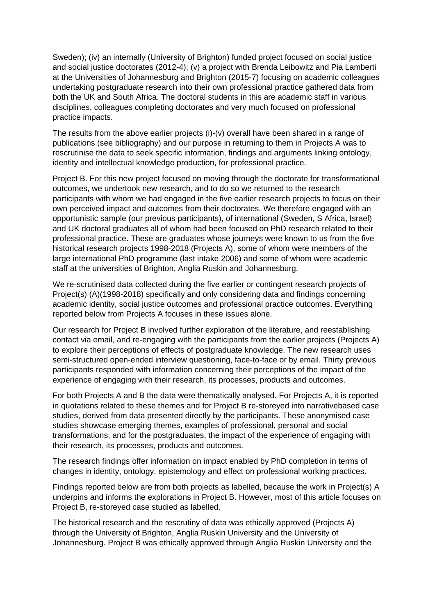Sweden); (iv) an internally (University of Brighton) funded project focused on social justice and social justice doctorates (2012-4); (v) a project with Brenda Leibowitz and Pia Lamberti at the Universities of Johannesburg and Brighton (2015-7) focusing on academic colleagues undertaking postgraduate research into their own professional practice gathered data from both the UK and South Africa. The doctoral students in this are academic staff in various disciplines, colleagues completing doctorates and very much focused on professional practice impacts.

The results from the above earlier projects (i)-(v) overall have been shared in a range of publications (see bibliography) and our purpose in returning to them in Projects A was to rescrutinise the data to seek specific information, findings and arguments linking ontology, identity and intellectual knowledge production, for professional practice.

Project B. For this new project focused on moving through the doctorate for transformational outcomes, we undertook new research, and to do so we returned to the research participants with whom we had engaged in the five earlier research projects to focus on their own perceived impact and outcomes from their doctorates. We therefore engaged with an opportunistic sample (our previous participants), of international (Sweden, S Africa, Israel) and UK doctoral graduates all of whom had been focused on PhD research related to their professional practice. These are graduates whose journeys were known to us from the five historical research projects 1998-2018 (Projects A), some of whom were members of the large international PhD programme (last intake 2006) and some of whom were academic staff at the universities of Brighton, Anglia Ruskin and Johannesburg.

We re-scrutinised data collected during the five earlier or contingent research projects of Project(s) (A)(1998-2018) specifically and only considering data and findings concerning academic identity, social justice outcomes and professional practice outcomes. Everything reported below from Projects A focuses in these issues alone.

Our research for Project B involved further exploration of the literature, and reestablishing contact via email, and re-engaging with the participants from the earlier projects (Projects A) to explore their perceptions of effects of postgraduate knowledge. The new research uses semi-structured open-ended interview questioning, face-to-face or by email. Thirty previous participants responded with information concerning their perceptions of the impact of the experience of engaging with their research, its processes, products and outcomes.

For both Projects A and B the data were thematically analysed. For Projects A, it is reported in quotations related to these themes and for Project B re-storeyed into narrativebased case studies, derived from data presented directly by the participants. These anonymised case studies showcase emerging themes, examples of professional, personal and social transformations, and for the postgraduates, the impact of the experience of engaging with their research, its processes, products and outcomes.

The research findings offer information on impact enabled by PhD completion in terms of changes in identity, ontology, epistemology and effect on professional working practices.

Findings reported below are from both projects as labelled, because the work in Project(s) A underpins and informs the explorations in Project B. However, most of this article focuses on Project B, re-storeyed case studied as labelled.

The historical research and the rescrutiny of data was ethically approved (Projects A) through the University of Brighton, Anglia Ruskin University and the University of Johannesburg. Project B was ethically approved through Anglia Ruskin University and the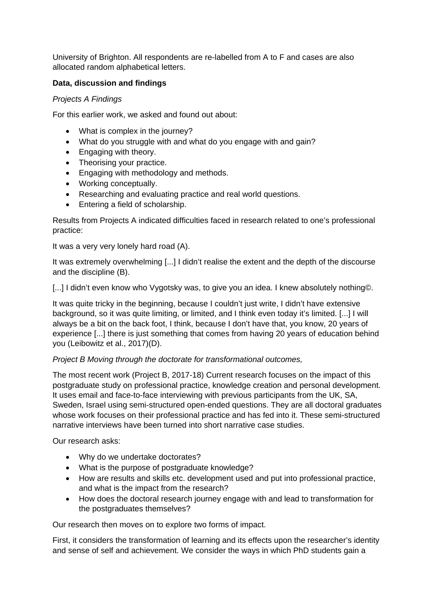University of Brighton. All respondents are re-labelled from A to F and cases are also allocated random alphabetical letters.

## **Data, discussion and findings**

### *Projects A Findings*

For this earlier work, we asked and found out about:

- What is complex in the journey?
- What do you struggle with and what do you engage with and gain?
- Engaging with theory.
- Theorising your practice.
- Engaging with methodology and methods.
- Working conceptually.
- Researching and evaluating practice and real world questions.
- Entering a field of scholarship.

Results from Projects A indicated difficulties faced in research related to one's professional practice:

It was a very very lonely hard road (A).

It was extremely overwhelming [...] I didn't realise the extent and the depth of the discourse and the discipline (B).

[...] I didn't even know who Vygotsky was, to give you an idea. I knew absolutely nothing©.

It was quite tricky in the beginning, because I couldn't just write, I didn't have extensive background, so it was quite limiting, or limited, and I think even today it's limited. [...] I will always be a bit on the back foot, I think, because I don't have that, you know, 20 years of experience [...] there is just something that comes from having 20 years of education behind you (Leibowitz et al., 2017)(D).

### *Project B Moving through the doctorate for transformational outcomes,*

The most recent work (Project B, 2017-18) Current research focuses on the impact of this postgraduate study on professional practice, knowledge creation and personal development. It uses email and face-to-face interviewing with previous participants from the UK, SA, Sweden, Israel using semi-structured open-ended questions. They are all doctoral graduates whose work focuses on their professional practice and has fed into it. These semi-structured narrative interviews have been turned into short narrative case studies.

Our research asks:

- Why do we undertake doctorates?
- What is the purpose of postgraduate knowledge?
- How are results and skills etc. development used and put into professional practice, and what is the impact from the research?
- How does the doctoral research journey engage with and lead to transformation for the postgraduates themselves?

Our research then moves on to explore two forms of impact.

First, it considers the transformation of learning and its effects upon the researcher's identity and sense of self and achievement. We consider the ways in which PhD students gain a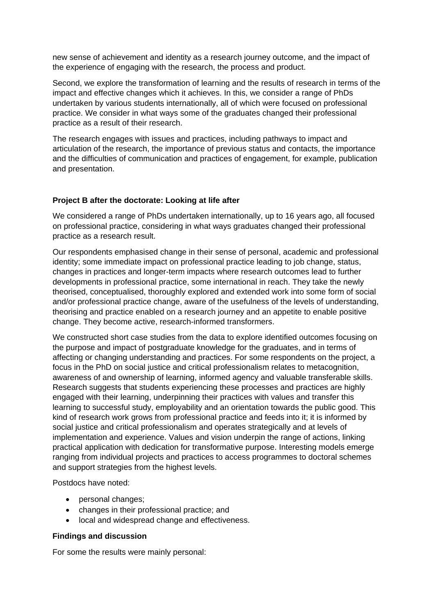new sense of achievement and identity as a research journey outcome, and the impact of the experience of engaging with the research, the process and product.

Second, we explore the transformation of learning and the results of research in terms of the impact and effective changes which it achieves. In this, we consider a range of PhDs undertaken by various students internationally, all of which were focused on professional practice. We consider in what ways some of the graduates changed their professional practice as a result of their research.

The research engages with issues and practices, including pathways to impact and articulation of the research, the importance of previous status and contacts, the importance and the difficulties of communication and practices of engagement, for example, publication and presentation.

### **Project B after the doctorate: Looking at life after**

We considered a range of PhDs undertaken internationally, up to 16 years ago, all focused on professional practice, considering in what ways graduates changed their professional practice as a research result.

Our respondents emphasised change in their sense of personal, academic and professional identity; some immediate impact on professional practice leading to job change, status, changes in practices and longer-term impacts where research outcomes lead to further developments in professional practice, some international in reach. They take the newly theorised, conceptualised, thoroughly explored and extended work into some form of social and/or professional practice change, aware of the usefulness of the levels of understanding, theorising and practice enabled on a research journey and an appetite to enable positive change. They become active, research-informed transformers.

We constructed short case studies from the data to explore identified outcomes focusing on the purpose and impact of postgraduate knowledge for the graduates, and in terms of affecting or changing understanding and practices. For some respondents on the project, a focus in the PhD on social justice and critical professionalism relates to metacognition, awareness of and ownership of learning, informed agency and valuable transferable skills. Research suggests that students experiencing these processes and practices are highly engaged with their learning, underpinning their practices with values and transfer this learning to successful study, employability and an orientation towards the public good. This kind of research work grows from professional practice and feeds into it; it is informed by social justice and critical professionalism and operates strategically and at levels of implementation and experience. Values and vision underpin the range of actions, linking practical application with dedication for transformative purpose. Interesting models emerge ranging from individual projects and practices to access programmes to doctoral schemes and support strategies from the highest levels.

Postdocs have noted:

- personal changes;
- changes in their professional practice; and
- local and widespread change and effectiveness.

#### **Findings and discussion**

For some the results were mainly personal: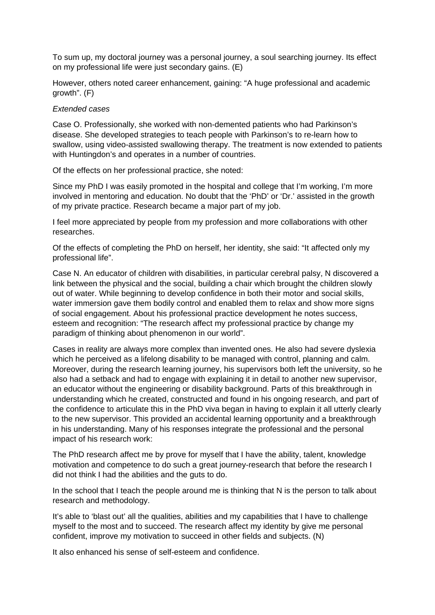To sum up, my doctoral journey was a personal journey, a soul searching journey. Its effect on my professional life were just secondary gains. (E)

However, others noted career enhancement, gaining: "A huge professional and academic growth". (F)

#### *Extended cases*

Case O. Professionally, she worked with non-demented patients who had Parkinson's disease. She developed strategies to teach people with Parkinson's to re-learn how to swallow, using video-assisted swallowing therapy. The treatment is now extended to patients with Huntingdon's and operates in a number of countries.

Of the effects on her professional practice, she noted:

Since my PhD I was easily promoted in the hospital and college that I'm working, I'm more involved in mentoring and education. No doubt that the 'PhD' or 'Dr.' assisted in the growth of my private practice. Research became a major part of my job.

I feel more appreciated by people from my profession and more collaborations with other researches.

Of the effects of completing the PhD on herself, her identity, she said: "It affected only my professional life".

Case N. An educator of children with disabilities, in particular cerebral palsy, N discovered a link between the physical and the social, building a chair which brought the children slowly out of water. While beginning to develop confidence in both their motor and social skills, water immersion gave them bodily control and enabled them to relax and show more signs of social engagement. About his professional practice development he notes success, esteem and recognition: "The research affect my professional practice by change my paradigm of thinking about phenomenon in our world".

Cases in reality are always more complex than invented ones. He also had severe dyslexia which he perceived as a lifelong disability to be managed with control, planning and calm. Moreover, during the research learning journey, his supervisors both left the university, so he also had a setback and had to engage with explaining it in detail to another new supervisor, an educator without the engineering or disability background. Parts of this breakthrough in understanding which he created, constructed and found in his ongoing research, and part of the confidence to articulate this in the PhD viva began in having to explain it all utterly clearly to the new supervisor. This provided an accidental learning opportunity and a breakthrough in his understanding. Many of his responses integrate the professional and the personal impact of his research work:

The PhD research affect me by prove for myself that I have the ability, talent, knowledge motivation and competence to do such a great journey-research that before the research I did not think I had the abilities and the guts to do.

In the school that I teach the people around me is thinking that N is the person to talk about research and methodology.

It's able to 'blast out' all the qualities, abilities and my capabilities that I have to challenge myself to the most and to succeed. The research affect my identity by give me personal confident, improve my motivation to succeed in other fields and subjects. (N)

It also enhanced his sense of self-esteem and confidence.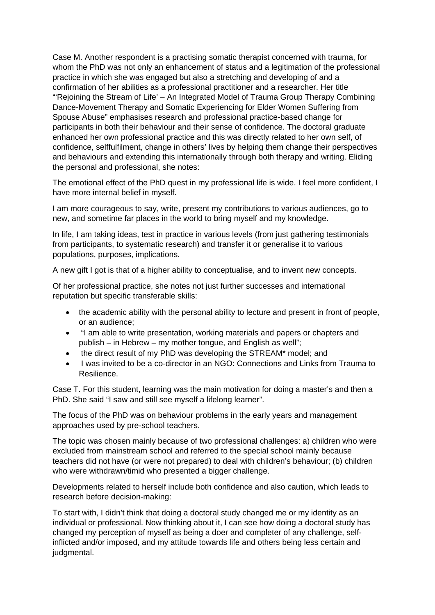Case M. Another respondent is a practising somatic therapist concerned with trauma, for whom the PhD was not only an enhancement of status and a legitimation of the professional practice in which she was engaged but also a stretching and developing of and a confirmation of her abilities as a professional practitioner and a researcher. Her title "'Rejoining the Stream of Life' – An Integrated Model of Trauma Group Therapy Combining Dance-Movement Therapy and Somatic Experiencing for Elder Women Suffering from Spouse Abuse" emphasises research and professional practice-based change for participants in both their behaviour and their sense of confidence. The doctoral graduate enhanced her own professional practice and this was directly related to her own self, of confidence, selffulfilment, change in others' lives by helping them change their perspectives and behaviours and extending this internationally through both therapy and writing. Eliding the personal and professional, she notes:

The emotional effect of the PhD quest in my professional life is wide. I feel more confident, I have more internal belief in myself.

I am more courageous to say, write, present my contributions to various audiences, go to new, and sometime far places in the world to bring myself and my knowledge.

In life, I am taking ideas, test in practice in various levels (from just gathering testimonials from participants, to systematic research) and transfer it or generalise it to various populations, purposes, implications.

A new gift I got is that of a higher ability to conceptualise, and to invent new concepts.

Of her professional practice, she notes not just further successes and international reputation but specific transferable skills:

- the academic ability with the personal ability to lecture and present in front of people, or an audience;
- "I am able to write presentation, working materials and papers or chapters and publish – in Hebrew – my mother tongue, and English as well";
- the direct result of my PhD was developing the STREAM\* model; and
- I was invited to be a co-director in an NGO: Connections and Links from Trauma to Resilience.

Case T. For this student, learning was the main motivation for doing a master's and then a PhD. She said "I saw and still see myself a lifelong learner".

The focus of the PhD was on behaviour problems in the early years and management approaches used by pre-school teachers.

The topic was chosen mainly because of two professional challenges: a) children who were excluded from mainstream school and referred to the special school mainly because teachers did not have (or were not prepared) to deal with children's behaviour; (b) children who were withdrawn/timid who presented a bigger challenge.

Developments related to herself include both confidence and also caution, which leads to research before decision-making:

To start with, I didn't think that doing a doctoral study changed me or my identity as an individual or professional. Now thinking about it, I can see how doing a doctoral study has changed my perception of myself as being a doer and completer of any challenge, selfinflicted and/or imposed, and my attitude towards life and others being less certain and judgmental.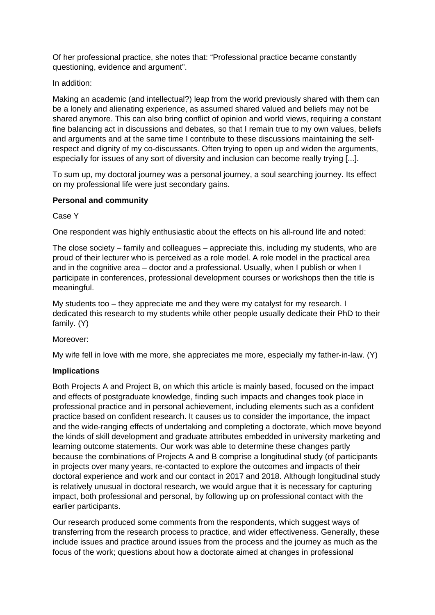Of her professional practice, she notes that: "Professional practice became constantly questioning, evidence and argument".

In addition:

Making an academic (and intellectual?) leap from the world previously shared with them can be a lonely and alienating experience, as assumed shared valued and beliefs may not be shared anymore. This can also bring conflict of opinion and world views, requiring a constant fine balancing act in discussions and debates, so that I remain true to my own values, beliefs and arguments and at the same time I contribute to these discussions maintaining the selfrespect and dignity of my co-discussants. Often trying to open up and widen the arguments, especially for issues of any sort of diversity and inclusion can become really trying [...].

To sum up, my doctoral journey was a personal journey, a soul searching journey. Its effect on my professional life were just secondary gains.

## **Personal and community**

Case Y

One respondent was highly enthusiastic about the effects on his all-round life and noted:

The close society – family and colleagues – appreciate this, including my students, who are proud of their lecturer who is perceived as a role model. A role model in the practical area and in the cognitive area – doctor and a professional. Usually, when I publish or when I participate in conferences, professional development courses or workshops then the title is meaningful.

My students too – they appreciate me and they were my catalyst for my research. I dedicated this research to my students while other people usually dedicate their PhD to their family. (Y)

Moreover:

My wife fell in love with me more, she appreciates me more, especially my father-in-law. (Y)

### **Implications**

Both Projects A and Project B, on which this article is mainly based, focused on the impact and effects of postgraduate knowledge, finding such impacts and changes took place in professional practice and in personal achievement, including elements such as a confident practice based on confident research. It causes us to consider the importance, the impact and the wide-ranging effects of undertaking and completing a doctorate, which move beyond the kinds of skill development and graduate attributes embedded in university marketing and learning outcome statements. Our work was able to determine these changes partly because the combinations of Projects A and B comprise a longitudinal study (of participants in projects over many years, re-contacted to explore the outcomes and impacts of their doctoral experience and work and our contact in 2017 and 2018. Although longitudinal study is relatively unusual in doctoral research, we would argue that it is necessary for capturing impact, both professional and personal, by following up on professional contact with the earlier participants.

Our research produced some comments from the respondents, which suggest ways of transferring from the research process to practice, and wider effectiveness. Generally, these include issues and practice around issues from the process and the journey as much as the focus of the work; questions about how a doctorate aimed at changes in professional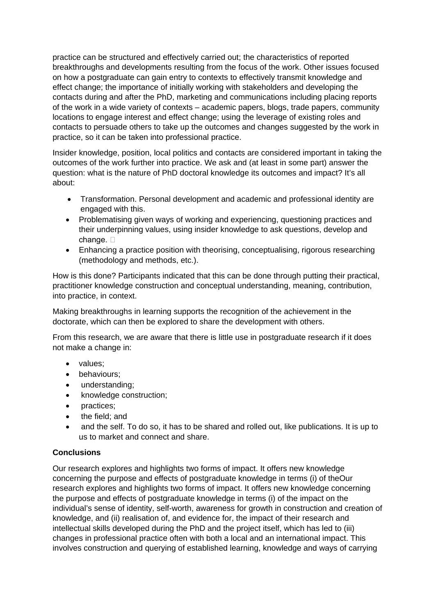practice can be structured and effectively carried out; the characteristics of reported breakthroughs and developments resulting from the focus of the work. Other issues focused on how a postgraduate can gain entry to contexts to effectively transmit knowledge and effect change; the importance of initially working with stakeholders and developing the contacts during and after the PhD, marketing and communications including placing reports of the work in a wide variety of contexts – academic papers, blogs, trade papers, community locations to engage interest and effect change; using the leverage of existing roles and contacts to persuade others to take up the outcomes and changes suggested by the work in practice, so it can be taken into professional practice.

Insider knowledge, position, local politics and contacts are considered important in taking the outcomes of the work further into practice. We ask and (at least in some part) answer the question: what is the nature of PhD doctoral knowledge its outcomes and impact? It's all about:

- Transformation. Personal development and academic and professional identity are engaged with this.
- Problematising given ways of working and experiencing, questioning practices and their underpinning values, using insider knowledge to ask questions, develop and change.  $\square$
- Enhancing a practice position with theorising, conceptualising, rigorous researching (methodology and methods, etc.).

How is this done? Participants indicated that this can be done through putting their practical, practitioner knowledge construction and conceptual understanding, meaning, contribution, into practice, in context.

Making breakthroughs in learning supports the recognition of the achievement in the doctorate, which can then be explored to share the development with others.

From this research, we are aware that there is little use in postgraduate research if it does not make a change in:

- values;
- behaviours;
- understanding;
- knowledge construction;
- practices;
- the field; and
- and the self. To do so, it has to be shared and rolled out, like publications. It is up to us to market and connect and share.

### **Conclusions**

Our research explores and highlights two forms of impact. It offers new knowledge concerning the purpose and effects of postgraduate knowledge in terms (i) of theOur research explores and highlights two forms of impact. It offers new knowledge concerning the purpose and effects of postgraduate knowledge in terms (i) of the impact on the individual's sense of identity, self-worth, awareness for growth in construction and creation of knowledge, and (ii) realisation of, and evidence for, the impact of their research and intellectual skills developed during the PhD and the project itself, which has led to (iii) changes in professional practice often with both a local and an international impact. This involves construction and querying of established learning, knowledge and ways of carrying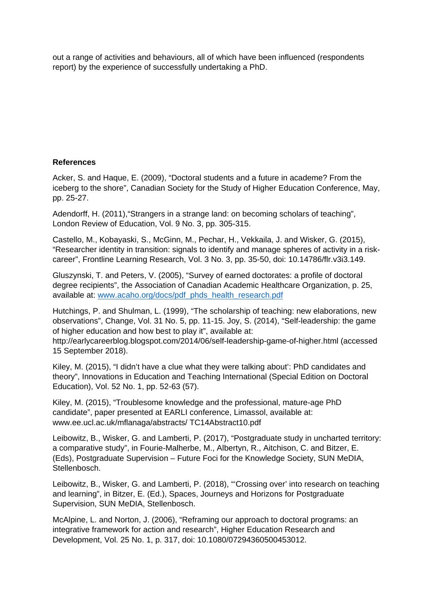out a range of activities and behaviours, all of which have been influenced (respondents report) by the experience of successfully undertaking a PhD.

## **References**

Acker, S. and Haque, E. (2009), "Doctoral students and a future in academe? From the iceberg to the shore", Canadian Society for the Study of Higher Education Conference, May, pp. 25-27.

Adendorff, H. (2011),"Strangers in a strange land: on becoming scholars of teaching", London Review of Education, Vol. 9 No. 3, pp. 305-315.

Castello, M., Kobayaski, S., McGinn, M., Pechar, H., Vekkaila, J. and Wisker, G. (2015), "Researcher identity in transition: signals to identify and manage spheres of activity in a riskcareer", Frontline Learning Research, Vol. 3 No. 3, pp. 35-50, doi: 10.14786/flr.v3i3.149.

Gluszynski, T. and Peters, V. (2005), "Survey of earned doctorates: a profile of doctoral degree recipients", the Association of Canadian Academic Healthcare Organization, p. 25, available at: [www.acaho.org/docs/pdf\\_phds\\_health\\_research.pdf](http://www.acaho.org/docs/pdf_phds_health_research.pdf)

Hutchings, P. and Shulman, L. (1999), "The scholarship of teaching: new elaborations, new observations", Change, Vol. 31 No. 5, pp. 11-15. Joy, S. (2014), "Self-leadership: the game of higher education and how best to play it", available at:

http://earlycareerblog.blogspot.com/2014/06/self-leadership-game-of-higher.html (accessed 15 September 2018).

Kiley, M. (2015), "I didn't have a clue what they were talking about': PhD candidates and theory", Innovations in Education and Teaching International (Special Edition on Doctoral Education), Vol. 52 No. 1, pp. 52-63 (57).

Kiley, M. (2015), "Troublesome knowledge and the professional, mature-age PhD candidate", paper presented at EARLI conference, Limassol, available at: www.ee.ucl.ac.uk/mflanaga/abstracts/ TC14Abstract10.pdf

Leibowitz, B., Wisker, G. and Lamberti, P. (2017), "Postgraduate study in uncharted territory: a comparative study", in Fourie-Malherbe, M., Albertyn, R., Aitchison, C. and Bitzer, E. (Eds), Postgraduate Supervision – Future Foci for the Knowledge Society, SUN MeDIA, Stellenbosch.

Leibowitz, B., Wisker, G. and Lamberti, P. (2018), "'Crossing over' into research on teaching and learning", in Bitzer, E. (Ed.), Spaces, Journeys and Horizons for Postgraduate Supervision, SUN MeDIA, Stellenbosch.

McAlpine, L. and Norton, J. (2006), "Reframing our approach to doctoral programs: an integrative framework for action and research", Higher Education Research and Development, Vol. 25 No. 1, p. 317, doi: 10.1080/07294360500453012.